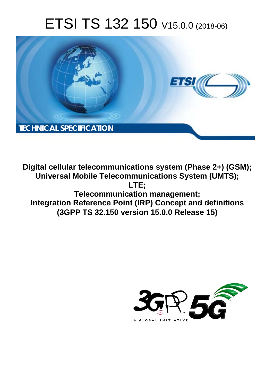# ETSI TS 132 150 V15.0.0 (2018-06)



**Digital cellular telecommunications system (Phase 2+) (GSM); Universal Mobile Telecommunications System (UMTS); LTE; Telecommunication management; Integration Reference Point (IRP) Concept and definitions (3GPP TS 32.150 version 15.0.0 Release 15)** 

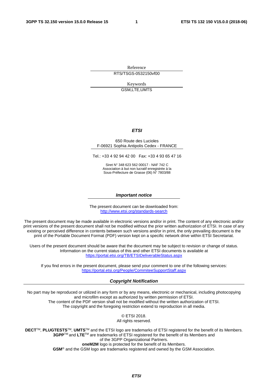Reference RTS/TSGS-0532150vf00

> Keywords GSM,LTE,UMTS

#### *ETSI*

#### 650 Route des Lucioles F-06921 Sophia Antipolis Cedex - FRANCE

Tel.: +33 4 92 94 42 00 Fax: +33 4 93 65 47 16

Siret N° 348 623 562 00017 - NAF 742 C Association à but non lucratif enregistrée à la Sous-Préfecture de Grasse (06) N° 7803/88

#### *Important notice*

The present document can be downloaded from: <http://www.etsi.org/standards-search>

The present document may be made available in electronic versions and/or in print. The content of any electronic and/or print versions of the present document shall not be modified without the prior written authorization of ETSI. In case of any existing or perceived difference in contents between such versions and/or in print, the only prevailing document is the print of the Portable Document Format (PDF) version kept on a specific network drive within ETSI Secretariat.

Users of the present document should be aware that the document may be subject to revision or change of status. Information on the current status of this and other ETSI documents is available at <https://portal.etsi.org/TB/ETSIDeliverableStatus.aspx>

If you find errors in the present document, please send your comment to one of the following services: <https://portal.etsi.org/People/CommiteeSupportStaff.aspx>

#### *Copyright Notification*

No part may be reproduced or utilized in any form or by any means, electronic or mechanical, including photocopying and microfilm except as authorized by written permission of ETSI. The content of the PDF version shall not be modified without the written authorization of ETSI. The copyright and the foregoing restriction extend to reproduction in all media.

> © ETSI 2018. All rights reserved.

**DECT**TM, **PLUGTESTS**TM, **UMTS**TM and the ETSI logo are trademarks of ETSI registered for the benefit of its Members. **3GPP**TM and **LTE**TM are trademarks of ETSI registered for the benefit of its Members and of the 3GPP Organizational Partners. **oneM2M** logo is protected for the benefit of its Members.

**GSM**® and the GSM logo are trademarks registered and owned by the GSM Association.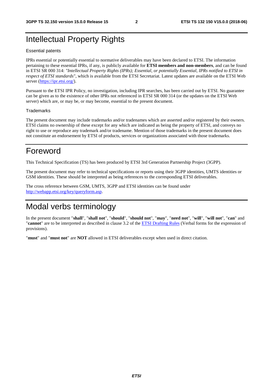### Intellectual Property Rights

#### Essential patents

IPRs essential or potentially essential to normative deliverables may have been declared to ETSI. The information pertaining to these essential IPRs, if any, is publicly available for **ETSI members and non-members**, and can be found in ETSI SR 000 314: *"Intellectual Property Rights (IPRs); Essential, or potentially Essential, IPRs notified to ETSI in respect of ETSI standards"*, which is available from the ETSI Secretariat. Latest updates are available on the ETSI Web server ([https://ipr.etsi.org/\)](https://ipr.etsi.org/).

Pursuant to the ETSI IPR Policy, no investigation, including IPR searches, has been carried out by ETSI. No guarantee can be given as to the existence of other IPRs not referenced in ETSI SR 000 314 (or the updates on the ETSI Web server) which are, or may be, or may become, essential to the present document.

#### **Trademarks**

The present document may include trademarks and/or tradenames which are asserted and/or registered by their owners. ETSI claims no ownership of these except for any which are indicated as being the property of ETSI, and conveys no right to use or reproduce any trademark and/or tradename. Mention of those trademarks in the present document does not constitute an endorsement by ETSI of products, services or organizations associated with those trademarks.

### Foreword

This Technical Specification (TS) has been produced by ETSI 3rd Generation Partnership Project (3GPP).

The present document may refer to technical specifications or reports using their 3GPP identities, UMTS identities or GSM identities. These should be interpreted as being references to the corresponding ETSI deliverables.

The cross reference between GSM, UMTS, 3GPP and ETSI identities can be found under [http://webapp.etsi.org/key/queryform.asp.](http://webapp.etsi.org/key/queryform.asp)

### Modal verbs terminology

In the present document "**shall**", "**shall not**", "**should**", "**should not**", "**may**", "**need not**", "**will**", "**will not**", "**can**" and "**cannot**" are to be interpreted as described in clause 3.2 of the [ETSI Drafting Rules](https://portal.etsi.org/Services/editHelp!/Howtostart/ETSIDraftingRules.aspx) (Verbal forms for the expression of provisions).

"**must**" and "**must not**" are **NOT** allowed in ETSI deliverables except when used in direct citation.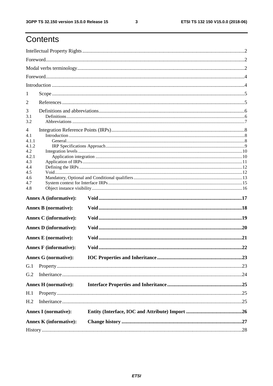# Contents

| 1               |                               |  |  |  |  |
|-----------------|-------------------------------|--|--|--|--|
| $\overline{2}$  |                               |  |  |  |  |
| 3               |                               |  |  |  |  |
| 3.1             |                               |  |  |  |  |
| 3.2             |                               |  |  |  |  |
| 4               |                               |  |  |  |  |
| 4.1<br>4.1.1    |                               |  |  |  |  |
| 4.1.2           |                               |  |  |  |  |
| 4.2             |                               |  |  |  |  |
| 4.2.1           |                               |  |  |  |  |
| 4.3<br>4.4      |                               |  |  |  |  |
| 4.5             |                               |  |  |  |  |
| 4.6             |                               |  |  |  |  |
| 4.7             |                               |  |  |  |  |
| 4.8             |                               |  |  |  |  |
|                 | <b>Annex A (informative):</b> |  |  |  |  |
|                 | <b>Annex B</b> (normative):   |  |  |  |  |
|                 | <b>Annex C</b> (informative): |  |  |  |  |
|                 | <b>Annex D</b> (informative): |  |  |  |  |
|                 | <b>Annex E</b> (normative):   |  |  |  |  |
|                 | <b>Annex F</b> (informative): |  |  |  |  |
|                 | <b>Annex G (normative):</b>   |  |  |  |  |
| G.1             |                               |  |  |  |  |
| G.2             |                               |  |  |  |  |
|                 | <b>Annex H</b> (normative):   |  |  |  |  |
| H.1             |                               |  |  |  |  |
| H <sub>.2</sub> |                               |  |  |  |  |
|                 | <b>Annex I</b> (normative):   |  |  |  |  |
|                 |                               |  |  |  |  |
|                 | <b>Annex K</b> (informative): |  |  |  |  |
|                 |                               |  |  |  |  |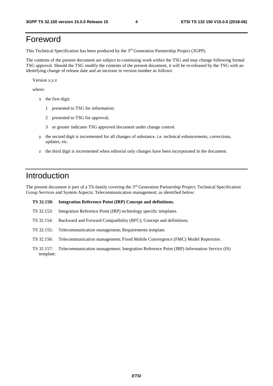### Foreword

This Technical Specification has been produced by the 3rd Generation Partnership Project (3GPP).

The contents of the present document are subject to continuing work within the TSG and may change following formal TSG approval. Should the TSG modify the contents of the present document, it will be re-released by the TSG with an identifying change of release date and an increase in version number as follows:

Version x.y.z

where:

- x the first digit:
	- 1 presented to TSG for information;
	- 2 presented to TSG for approval;
	- 3 or greater indicates TSG approved document under change control.
- y the second digit is incremented for all changes of substance, i.e. technical enhancements, corrections, updates, etc.
- z the third digit is incremented when editorial only changes have been incorporated in the document.

### Introduction

The present document is part of a TS-family covering the 3rd Generation Partnership Project; Technical Specification Group Services and System Aspects; Telecommunication management; as identified below:

#### **TS 32.150: Integration Reference Point (IRP) Concept and definitions.**

- TS 32.153: Integration Reference Point (IRP) technology specific templates.
- TS 32.154: Backward and Forward Compatibility (BFC); Concept and definitions.
- TS 32.155: Telecommunication management; Requirements template.

TS 32.156: Telecommunication management; Fixed Mobile Convergence (FMC) Model Repertoire.

TS 32.157: Telecommunication management; Integration Reference Point (IRP) Information Service (IS) template.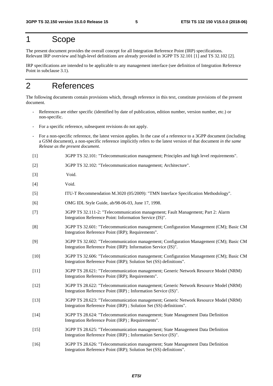### 1 Scope

The present document provides the overall concept for all Integration Reference Point (IRP) specifications. Relevant IRP overview and high-level definitions are already provided in 3GPP TS 32.101 [1] and TS 32.102 [2].

IRP specifications are intended to be applicable to any management interface (see definition of Integration Reference Point in subclause 3.1).

### 2 References

The following documents contain provisions which, through reference in this text, constitute provisions of the present document.

- References are either specific (identified by date of publication, edition number, version number, etc.) or non-specific.
- For a specific reference, subsequent revisions do not apply.
- For a non-specific reference, the latest version applies. In the case of a reference to a 3GPP document (including a GSM document), a non-specific reference implicitly refers to the latest version of that document *in the same Release as the present document*.
- [1] 3GPP TS 32.101: "Telecommunication management; Principles and high level requirements".
- [2] 3GPP TS 32.102: "Telecommunication management; Architecture".
- [3] Void.
- [4] Void.
- [5] ITU-T Recommendation M.3020 (05/2009): "TMN Interface Specification Methodology".
- [6] OMG IDL Style Guide, ab/98-06-03, June 17, 1998.
- [7] 3GPP TS 32.111-2: "Telecommunication management; Fault Management; Part 2: Alarm Integration Reference Point: Information Service (IS)".
- [8] 3GPP TS 32.601: "Telecommunication management; Configuration Management (CM); Basic CM Integration Reference Point (IRP); Requirements".
- [9] 3GPP TS 32.602: "Telecommunication management; Configuration Management (CM); Basic CM Integration Reference Point (IRP): Information Service (IS)".
- [10] 3GPP TS 32.606: "Telecommunication management; Configuration Management (CM); Basic CM Integration Reference Point (IRP); Solution Set (SS) definitions".
- [11] 3GPP TS 28.621: "Telecommunication management; Generic Network Resource Model (NRM) Integration Reference Point (IRP); Requirements".
- [12] 3GPP TS 28.622: "Telecommunication management; Generic Network Resource Model (NRM) Integration Reference Point (IRP) ; Information Service (IS)".
- [13] 3GPP TS 28.623: "Telecommunication management; Generic Network Resource Model (NRM) Integration Reference Point (IRP) ; Solution Set (SS) definitions".
- [14] 3GPP TS 28.624: "Telecommunication management; State Management Data Definition Integration Reference Point (IRP) ; Requirements".
- [15] 3GPP TS 28.625: "Telecommunication management; State Management Data Definition Integration Reference Point (IRP) ; Information Service (IS)".
- [16] 3GPP TS 28.626: "Telecommunication management; State Management Data Definition Integration Reference Point (IRP); Solution Set (SS) definitions".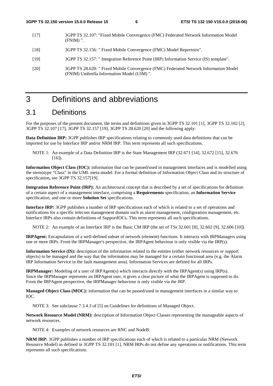- [17] 3GPP TS 32.107: "Fixed Mobile Convergence (FMC) Federated Network Information Model (FNIM) ".
- [18] 3GPP TS 32.156: " Fixed Mobile Convergence (FMC) Model Repertoire".
- [19] 3GPP TS 32.157: " Integration Reference Point (IRP) Information Service (IS) template".
- [20] 3GPP TS 28.620: " Fixed Mobile Convergence (FMC) Federated Network Information Model (FNIM) Umbrella Information Model (UIM) ".

## 3 Definitions and abbreviations

### 3.1 Definitions

For the purposes of the present document, the terms and definitions given in 3GPP TS 32.101 [1], 3GPP TS 32.102 [2], 3GPP TS 32.107 [17], 3GPP TS 32.157 [19], 3GPP TS 28.620 [20] and the following apply:

**Data Definition IRP:** 3GPP publishes IRP specifications relating to commonly used data definitions that can be imported for use by Interface IRP and/or NRM IRP. This term represents all such specifications.

NOTE 1: An example of a Data Definition IRP is the State Management IRP (32.671 [14], 32.672 [15], 32.676  $[16]$ ).

**Information Object Class (IOC):** information that can be passed/used in management interfaces and is modelled using the stereotype "Class" in the UML meta-model. For a formal definition of Information Object Class and its structure of specification**,** see 3GPP TS 32.157[19].

**Integration Reference Point (IRP):** An architectural concept that is described by a set of specifications for definition of a certain aspect of a management interface, comprising a **Requirements** specification, an **Information Service**  specification, and one or more **Solution Set** specifications.

**Interface IRP:** 3GPP publishes a number of IRP specifications each of which is related to a set of operations and notifications for a specific telecom management domain such as alarm management, configuration management, etc. Interface IRPs also contain definitions of SupportIOCs. This term represents all such specifications.

NOTE 2: An example of an Interface IRP is the Basic CM IRP (the set of TSs 32.601 [8], 32.602 [9], 32.606 [10]).

**IRPAgent:** Encapsulation of a well-defined subset of network (element) functions. It interacts with IRPManagers using one or more IRPs. From the IRPManager's perspective, the IRPAgent behaviour is only visible via the IRP(s).

**Information Service (IS):** description of the information related to the entities (either network resources or support objects) to be managed and the way that the information may be managed for a certain functional area (e.g. the Alarm IRP Information Service in the fault management area). Information Services are defined for all IRPs.

**IRPManager:** Modeling of a user of IRPAgent(s) which interacts directly with the IRPAgent(s) using IRP(s). Since the IRPManager represents an IRPAgent user, it gives a clear picture of what the IRPAgent is supposed to do. From the IRPAgent perspective, the IRPManager behaviour is only visible via the IRP.

**Managed Object Class (MOC):** information that can be passed/used in management interfaces in a similar way to IOC.

NOTE 3: See subclause 7.3.4.3 of [5] on Guidelines for definitions of Managed Object.

**Network Resource Model (NRM):** description of Information Object Classes representing the manageable aspects of network resources.

NOTE 4: Examples of network resources are RNC and NodeB.

**NRM IRP:** 3GPP publishes a number of IRP specifications each of which is related to a particular NRM (Network Resource Model) as defined in 3GPP TS 32.101 [1]. NRM IRPs do not define any operations or notifications. This term represents all such specifications.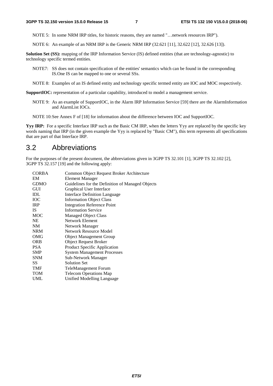NOTE 5: In some NRM IRP titles, for historic reasons, they are named "…network resources IRP").

NOTE 6: An example of an NRM IRP is the Generic NRM IRP (32.621 [11], 32.622 [12], 32.626 [13]).

**Solution Set (SS):** mapping of the IRP Information Service (IS) defined entities (that are technology-agnostic) to technology specific termed entities.

- NOTE7: SS does not contain specification of the entities' semantics which can be found in the corresponding IS.One IS can be mapped to one or several SSs.
- NOTE 8: Examples of an IS defined entity and technology specific termed entity are IOC and MOC respectively.

**SupportIOC:** representation of a particular capability, introduced to model a management service.

- NOTE 9: As an example of SupportIOC, in the Alarm IRP Information Service [59] there are the AlarmInformation and AlarmList IOCs.
- NOTE 10: See Annex F of [18] for information about the difference between IOC and SupportIOC.

**Yyy IRP:** For a specific Interface IRP such as the Basic CM IRP, when the letters Yyy are replaced by the specific key words naming that IRP (in the given example the Yyy is replaced by "Basic CM"), this term represents all specifications that are part of that Interface IRP.

### 3.2 Abbreviations

For the purposes of the present document, the abbreviations given in 3GPP TS 32.101 [1], 3GPP TS 32.102 [2], 3GPP TS 32.157 [19] and the following apply:

| <b>CORBA</b> | Common Object Request Broker Architecture        |
|--------------|--------------------------------------------------|
| EM           | Element Manager                                  |
| <b>GDMO</b>  | Guidelines for the Definition of Managed Objects |
| GUI          | Graphical User Interface                         |
| IDL          | <b>Interface Definition Language</b>             |
| ЮC           | <b>Information Object Class</b>                  |
| <b>IRP</b>   | <b>Integration Reference Point</b>               |
| IS.          | <b>Information Service</b>                       |
| <b>MOC</b>   | <b>Managed Object Class</b>                      |
| NE.          | Network Element                                  |
| NM           | Network Manager                                  |
| <b>NRM</b>   | Network Resource Model                           |
| OMG          | <b>Object Management Group</b>                   |
| <b>ORB</b>   | <b>Object Request Broker</b>                     |
| <b>PSA</b>   | Product Specific Application                     |
| <b>SMP</b>   | <b>System Management Processes</b>               |
| <b>SNM</b>   | Sub-Network Manager                              |
| SS           | <b>Solution Set</b>                              |
| TMF          | TeleManagement Forum                             |
| <b>TOM</b>   | <b>Telecom Operations Map</b>                    |
| UML          | Unified Modelling Language                       |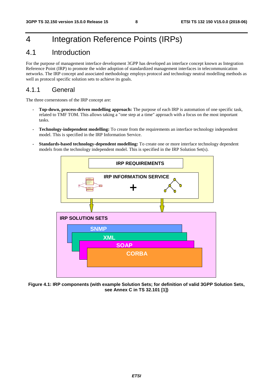# 4 Integration Reference Points (IRPs)

### 4.1 Introduction

For the purpose of management interface development 3GPP has developed an interface concept known as Integration Reference Point (IRP) to promote the wider adoption of standardized management interfaces in telecommunication networks. The IRP concept and associated methodology employs protocol and technology neutral modelling methods as well as protocol specific solution sets to achieve its goals.

### 4.1.1 General

The three cornerstones of the IRP concept are:

- **Top-down, process-driven modelling approach:** The purpose of each IRP is automation of one specific task, related to TMF TOM. This allows taking a "one step at a time" approach with a focus on the most important tasks.
- **Technology-independent modelling:** To create from the requirements an interface technology independent model. This is specified in the IRP Information Service.
- **Standards-based technology-dependent modelling:** To create one or more interface technology dependent models from the technology independent model. This is specified in the IRP Solution Set(s).



**Figure 4.1: IRP components (with example Solution Sets; for definition of valid 3GPP Solution Sets, see Annex C in TS 32.101 [1])**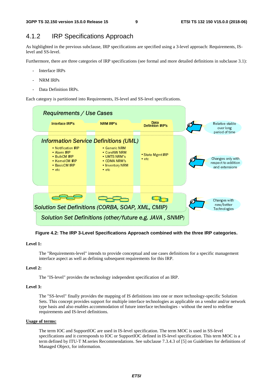### 4.1.2 IRP Specifications Approach

As highlighted in the previous subclause, IRP specifications are specified using a 3-level approach: Requirements, ISlevel and SS-level.

Furthermore, there are three categories of IRP specifications (see formal and more detailed definitions in subclause 3.1):

- Interface IRPs
- NRM IRPs
- Data Definition IRPs.

Each category is partitioned into Requirements, IS-level and SS-level specifications.



**Figure 4.2: The IRP 3-Level Specifications Approach combined with the three IRP categories.** 

#### **Level 1:**

 The "Requirements-level" intends to provide conceptual and use cases definitions for a specific management interface aspect as well as defining subsequent requirements for this IRP.

#### **Level 2:**

The "IS-level" provides the technology independent specification of an IRP.

#### **Level 3:**

 The "SS-level" finally provides the mapping of IS definitions into one or more technology-specific Solution Sets. This concept provides support for multiple interface technologies as applicable on a vendor and/or network type basis and also enables accommodation of future interface technologies - without the need to redefine requirements and IS-level definitions.

#### **Usage of terms:**

 The term IOC and SupportIOC are used in IS-level specification. The term MOC is used in SS-level specifications and it corresponds to IOC or SupportIOC defined in IS-level specification. This term MOC is a term defined by ITU-T M.series Recommendations. See subclause 7.3.4.3 of [5] on Guidelines for definitions of Managed Object, for information.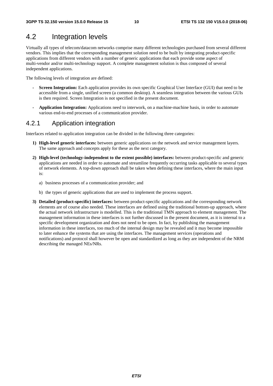### 4.2 Integration levels

Virtually all types of telecom/datacom networks comprise many different technologies purchased from several different vendors. This implies that the corresponding management solution need to be built by integrating product-specific applications from different vendors with a number of generic applications that each provide some aspect of multi-vendor and/or multi-technology support. A complete management solution is thus composed of several independent applications.

The following levels of integration are defined:

- **Screen Integration:** Each application provides its own specific Graphical User Interface (GUI) that need to be accessible from a single, unified screen (a common desktop). A seamless integration between the various GUIs is then required. Screen Integration is not specified in the present document.
- **Application Integration:** Applications need to interwork, on a machine-machine basis, in order to automate various end-to-end processes of a communication provider.

### 4.2.1 Application integration

Interfaces related to application integration can be divided in the following three categories:

- **1) High-level generic interfaces:** between generic applications on the network and service management layers. The same approach and concepts apply for these as the next category.
- **2) High-level (technology-independent to the extent possible) interfaces:** between product-specific and generic applications are needed in order to automate and streamline frequently occurring tasks applicable to several types of network elements. A top-down approach shall be taken when defining these interfaces, where the main input is:
	- a) business processes of a communication provider; and
	- b) the types of generic applications that are used to implement the process support.
- **3) Detailed (product-specific) interfaces:** between product-specific applications and the corresponding network elements are of course also needed. These interfaces are defined using the traditional bottom-up approach, where the actual network infrastructure is modelled. This is the traditional TMN approach to element management. The management information in these interfaces is not further discussed in the present document, as it is internal to a specific development organization and does not need to be open. In fact, by publishing the management information in these interfaces, too much of the internal design may be revealed and it may become impossible to later enhance the systems that are using the interfaces. The management services (operations and notifications) and protocol shall however be open and standardized as long as they are independent of the NRM describing the managed NEs/NRs.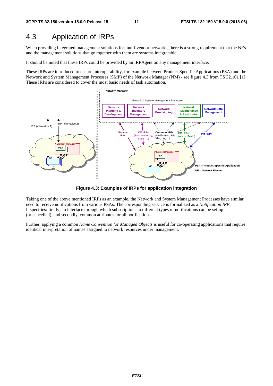### 4.3 Application of IRPs

When providing integrated management solutions for multi-vendor networks, there is a strong requirement that the NEs and the management solutions that go together with them are systems integratable.

It should be noted that these IRPs could be provided by an IRPAgent on any management interface.

These IRPs are introduced to ensure interoperability, for example between Product-Specific Applications (PSA) and the Network and System Management Processes (SMP) of the Network Manager (NM) - see figure 4.3 from TS 32.101 [1]. These IRPs are considered to cover the most basic needs of task automation.



**Figure 4.3: Examples of IRPs for application integration** 

Taking one of the above mentioned IRPs as an example, the Network and System Management Processes have similar need to receive notifications from various PSAs. The corresponding service is formalized as a *Notification IRP*. It specifies: firstly, an interface through which subscriptions to different types of notifications can be set-up (or cancelled), and secondly, common attributes for all notifications.

Further, applying a common *Name Convention for Managed Objects* is useful for co-operating applications that require identical interpretation of names assigned to network resources under management.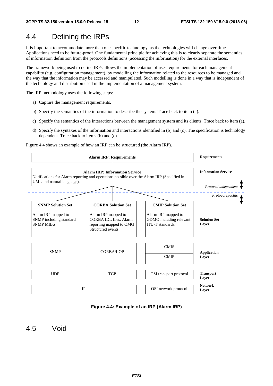### 4.4 Defining the IRPs

It is important to accommodate more than one specific technology, as the technologies will change over time. Applications need to be future-proof. One fundamental principle for achieving this is to clearly separate the semantics of information definition from the protocols definitions (accessing the information) for the external interfaces.

The framework being used to define IRPs allows the implementation of user requirements for each management capability (e.g. configuration management), by modelling the information related to the resources to be managed and the way that the information may be accessed and manipulated. Such modelling is done in a way that is independent of the technology and distribution used in the implementation of a management system.

The IRP methodology uses the following steps:

- a) Capture the management requirements.
- b) Specify the semantics of the information to describe the system. Trace back to item (a).
- c) Specify the semantics of the interactions between the management system and its clients. Trace back to item (a).
- d) Specify the syntaxes of the information and interactions identified in (b) and (c). The specification is technology dependent. Trace back to items (b) and (c).

Figure 4.4 shows an example of how an IRP can be structured (the Alarm IRP).



#### **Figure 4.4: Example of an IRP (Alarm IRP)**

4.5 Void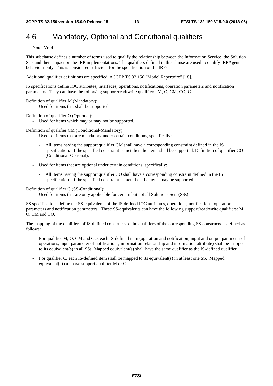### 4.6 Mandatory, Optional and Conditional qualifiers

Note: Void.

This subclause defines a number of terms used to qualify the relationship between the Information Service, the Solution Sets and their impact on the IRP implementations. The qualifiers defined in this clause are used to qualify IRPAgent behaviour only. This is considered sufficient for the specification of the IRPs.

Additional qualifier definitions are specified in 3GPP TS 32.156 "Model Repertoire" [18].

IS specifications define IOC attributes, interfaces, operations, notifications, operation parameters and notification parameters. They can have the following support/read/write qualifiers: M, O, CM, CO, C.

Definition of qualifier M (Mandatory):

- Used for items that shall be supported.

Definition of qualifier O (Optional):

- Used for items which may or may not be supported.

Definition of qualifier CM (Conditional-Mandatory):

- Used for items that are mandatory under certain conditions, specifically:
	- All items having the support qualifier CM shall have a corresponding constraint defined in the IS specification. If the specified constraint is met then the items shall be supported. Definition of qualifier CO (Conditional-Optional):
- Used for items that are optional under certain conditions, specifically:
	- All items having the support qualifier CO shall have a corresponding constraint defined in the IS specification. If the specified constraint is met, then the items may be supported.

Definition of qualifier C (SS-Conditional):

Used for items that are only applicable for certain but not all Solutions Sets (SSs).

SS specifications define the SS-equivalents of the IS-defined IOC attributes, operations, notifications, operation parameters and notification parameters. These SS-equivalents can have the following support/read/write qualifiers: M, O, CM and CO.

The mapping of the qualifiers of IS-defined constructs to the qualifiers of the corresponding SS-constructs is defined as follows:

- For qualifier M, O, CM and CO, each IS-defined item (operation and notification, input and output parameter of operations, input parameter of notifications, information relationship and information attribute) shall be mapped to its equivalent(s) in all SSs. Mapped equivalent(s) shall have the same qualifier as the IS-defined qualifier.
- For qualifier C, each IS-defined item shall be mapped to its equivalent(s) in at least one SS. Mapped equivalent(s) can have support qualifier M or O.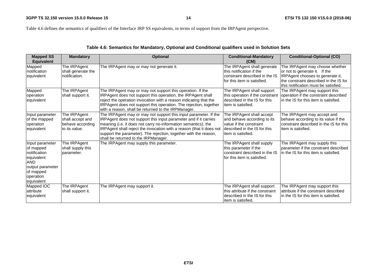Table 4.6 defines the semantics of qualifiers of the Interface IRP SS equivalents, in terms of support from the IRPAgent perspective.

| <b>Mapped SS</b><br><b>Equivalent</b>                                                                                                | <b>Mandatory</b>                                                      | <b>Optional</b>                                                                                                                                                                                                                                                                                                                                                                            | <b>Conditional-Mandatory</b><br>(CM)                                                                                                      | <b>Conditional-Optional (CO)</b>                                                                                                                                                       |
|--------------------------------------------------------------------------------------------------------------------------------------|-----------------------------------------------------------------------|--------------------------------------------------------------------------------------------------------------------------------------------------------------------------------------------------------------------------------------------------------------------------------------------------------------------------------------------------------------------------------------------|-------------------------------------------------------------------------------------------------------------------------------------------|----------------------------------------------------------------------------------------------------------------------------------------------------------------------------------------|
| Mapped<br>notification<br>equivalent                                                                                                 | The IRPAgent<br>shall generate the<br>notification.                   | The IRPAgent may or may not generate it.                                                                                                                                                                                                                                                                                                                                                   | The IRPAgent shall generate<br>this notification if the<br>constraint described in the IS<br>for this item is satisfied.                  | The IRPAgent may choose whether<br>or not to generate it. If the<br>IRPAgent chooses to generate it,<br>the constraint described in the IS for<br>this notification must be satisfied. |
| Mapped<br>operation<br>equivalent                                                                                                    | The IRPAgent<br>shall support it.                                     | The IRPAgent may or may not support this operation. If the<br>IRPAgent does not support this operation, the IRPAgent shall<br>reject the operation invocation with a reason indicating that the<br>IRPAgent does not support this operation. The rejection, together<br>with a reason, shall be returned to the IRPManager.                                                                | The IRPAgent shall support<br>this operation if the constraint<br>described in the IS for this<br>item is satisfied.                      | The IRPAgent may support this<br>operation if the constraint described<br>in the IS for this item is satisfied.                                                                        |
| Input parameter<br>of the mapped<br>loperation<br>equivalent                                                                         | The IRPAgent<br>shall accept and<br>behave according<br>to its value. | The IRPAgent may or may not support this input parameter. If the<br>IRPAgent does not support this input parameter and if it carries<br>meaning (i.e. it does not carry no-information semantics), the<br>IRPAgent shall reject the invocation with a reason (that it does not<br>support the parameter). The rejection, together with the reason,<br>shall be returned to the IRPManager. | The IRPAgent shall accept<br>and behave according to its<br>value if the constraint<br>described in the IS for this<br>item is satisfied. | The IRPAgent may accept and<br>behave according to its value if the<br>constraint described in the IS for this<br>item is satisfied.                                                   |
| Input parameter<br>of mapped<br>notification<br>equivalent<br><b>AND</b><br>output parameter<br>of mapped<br>operation<br>equivalent | The IRPAgent<br>shall supply this<br>parameter.                       | The IRPAgent may supply this parameter.                                                                                                                                                                                                                                                                                                                                                    | The IRPAgent shall supply<br>this parameter if the<br>constraint described in the IS<br>for this item is satisfied.                       | The IRPAgent may supply this<br>parameter if the constraint described<br>in the IS for this item is satisfied.                                                                         |
| Mapped IOC<br>attribute<br>equivalent                                                                                                | The IRPAgent<br>shall support it.                                     | The IRPAgent may support it.                                                                                                                                                                                                                                                                                                                                                               | The IRPAgent shall support<br>this attribute if the constraint<br>described in the IS for this<br>item is satisfied.                      | The IRPAgent may support this<br>attribute if the constraint described<br>in the IS for this item is satisfied.                                                                        |

### **Table 4.6: Semantics for Mandatory, Optional and Conditional qualifiers used in Solution Sets**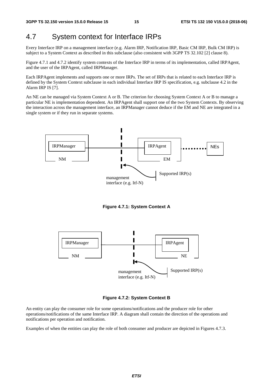### 4.7 System context for Interface IRPs

Every Interface IRP on a management interface (e.g. Alarm IRP, Notification IRP, Basic CM IRP, Bulk CM IRP) is subject to a System Context as described in this subclause (also consistent with 3GPP TS 32.102 [2] clause 8).

Figure 4.7.1 and 4.7.2 identify system contexts of the Interface IRP in terms of its implementation, called IRPAgent, and the user of the IRPAgent, called IRPManager.

Each IRPAgent implements and supports one or more IRPs. The set of IRPs that is related to each Interface IRP is defined by the System Context subclause in each individual Interface IRP IS specification, e.g. subclause 4.2 in the Alarm IRP IS [7].

An NE can be managed via System Context A or B. The criterion for choosing System Context A or B to manage a particular NE is implementation dependent. An IRPAgent shall support one of the two System Contexts. By observing the interaction across the management interface, an IRPManager cannot deduce if the EM and NE are integrated in a single system or if they run in separate systems.



**Figure 4.7.1: System Context A** 



**Figure 4.7.2: System Context B** 

An entity can play the consumer role for some operations/notifications and the producer role for other operations/notifications of the same Interface IRP. A diagram shall contain the direction of the operations and notifications per operation and notification.

Examples of when the entities can play the role of both consumer and producer are depicted in Figures 4.7.3.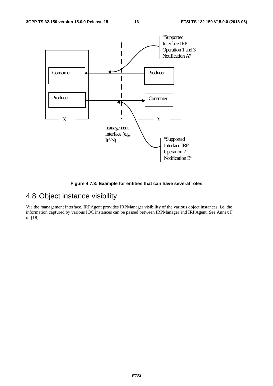

**Figure 4.7.3: Example for entities that can have several roles** 

### 4.8 Object instance visibility

Via the management interface, IRPAgent provides IRPManager visibility of the various object instances, i.e. the information captured by various IOC instances can be passed between IRPManager and IRPAgent. See Annex F of [18].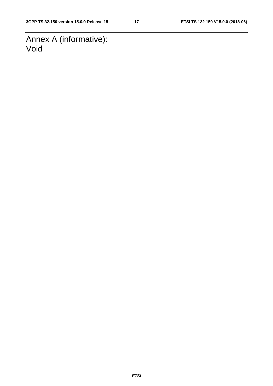Annex A (informative): Void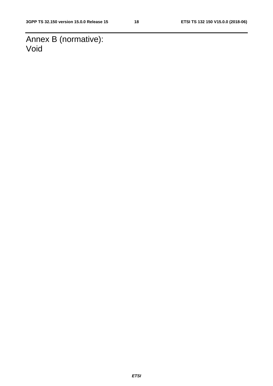Annex B (normative): Void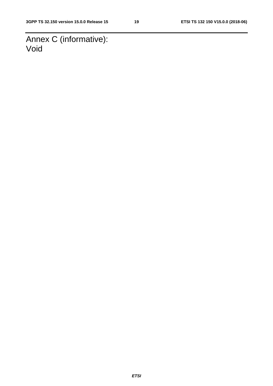Annex C (informative): Void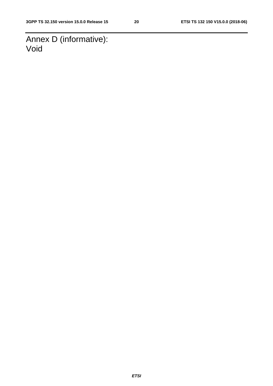Annex D (informative): Void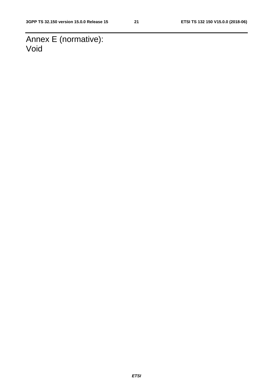Annex E (normative): Void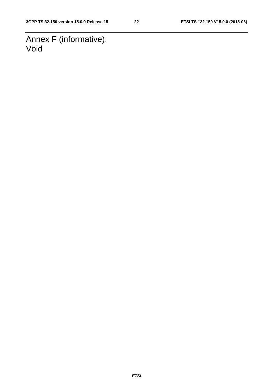Annex F (informative): Void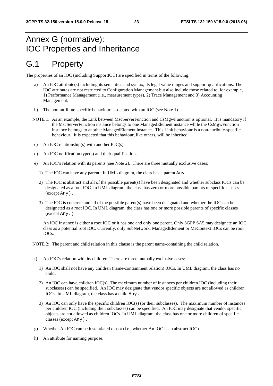# Annex G (normative): IOC Properties and Inheritance

## G.1 Property

The properties of an IOC (including SupportIOC) are specified in terms of the following:

- a) An IOC attribute(s) including its semantics and syntax, its legal value ranges and support qualifications. The IOC attributes are not restricted to Configuration Management but also include those related to, for example, 1) Performance Management (i.e., measurement types), 2) Trace Management and 3) Accounting Management.
- b) The non-attribute-specific behaviour associated with an IOC (see Note 1).
- NOTE 1: As an example, the Link between MscServerFunction and CsMgwFunction is optional. It is mandatory if the MscServerFunction instance belongs to one ManagedElement instance while the CsMgwFunction instance belongs to another ManagedElement instance. This Link behaviour is a non-attribute-specific behaviour. It is expected that this behaviour, like others, will be inherited.
- c) An IOC relationship(s) with another IOC(s).
- d) An IOC notification type(s) and their qualifications.
- e) An IOC's relation with its parents (see Note 2). There are three mutually exclusive cases:
	- 1) The IOC can have any parent. In UML diagram, the class has a parent Any.
	- 2) The IOC is abstract and all of the possible parent(s) have been designated and whether subclass IOCs can be designated as a root IOC. In UML diagram, the class has zero or more possible parents of specific classes (except Any).
	- 3) The IOC is concrete and all of the possible parent(s) have been designated and whether the IOC can be designated as a root IOC. In UML diagram, the class has one or more possible parents of specific classes (except Any.)

An IOC instance is either a root IOC or it has one and only one parent. Only 3GPP SA5 may designate an IOC class as a potential root IOC. Currently, only SubNetwork, ManagedElement or MeContext IOCs can be root  $IOCs$ 

NOTE 2: The parent and child relation in this clause is the parent name-containing the child relation.

- f) An IOC's relation with its children. There are three mutually exclusive cases:
	- 1) An IOC shall not have any children (name-containment relation) IOCs. In UML diagram, the class has no child.
	- 2) An IOC can have children IOC(s). The maximum number of instances per children IOC (including their subclasses) can be specified. An IOC may designate that vendor specific objects are not allowed as children IOCs. In UML diagram, the class has a child Any.
	- 3) An IOC can only have the specific children IOC(s) (or their subclasses). The maximum number of instances per children IOC (including their subclasses) can be specified. An IOC may designate that vendor specific objects are not allowed as children IOCs. In UML diagram, the class has one or more children of specific classes (except Any).
- g) Whether An IOC can be instantiated or not (i.e., whether An IOC is an abstract IOC).
- h) An attribute for naming purpose.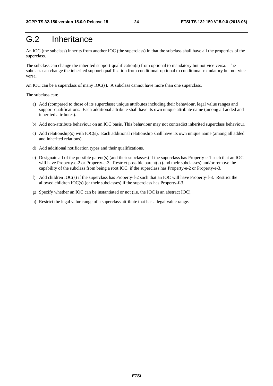## G.2 Inheritance

An IOC (the subclass) inherits from another IOC (the superclass) in that the subclass shall have all the properties of the superclass.

The subclass can change the inherited support-qualification(s) from optional to mandatory but not vice versa. The subclass can change the inherited support-qualification from conditional-optional to conditional-mandatory but not vice versa.

An IOC can be a superclass of many IOC(s). A subclass cannot have more than one superclass.

The subclass can:

- a) Add (compared to those of its superclass) unique attributes including their behaviour, legal value ranges and support-qualifications. Each additional attribute shall have its own unique attribute name (among all added and inherited attributes).
- b) Add non-attribute behaviour on an IOC basis. This behaviour may not contradict inherited superclass behaviour.
- c) Add relationship(s) with IOC(s). Each additional relationship shall have its own unique name (among all added and inherited relations).
- d) Add additional notification types and their qualifications.
- e) Designate all of the possible parent(s) (and their subclasses) if the superclass has Property-e-1 such that an IOC will have Property-e-2 or Property-e-3. Restrict possible parent(s) (and their subclasses) and/or remove the capability of the subclass from being a root IOC, if the superclass has Property-e-2 or Property-e-3.
- f) Add children IOC(s) if the superclass has Property-f-2 such that an IOC will have Property-f-3. Restrict the allowed children IOC(s) (or their subclasses) if the superclass has Property-f-3.
- g) Specify whether an IOC can be instantiated or not (i.e. the IOC is an abstract IOC).
- h) Restrict the legal value range of a superclass attribute that has a legal value range.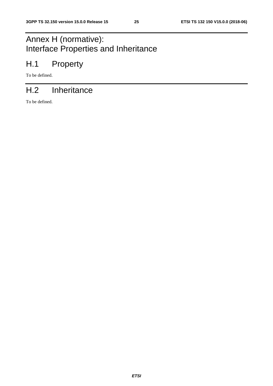# Annex H (normative): Interface Properties and Inheritance

# H.1 Property

To be defined.

# H.2 Inheritance

To be defined.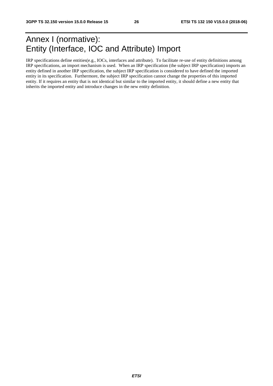## Annex I (normative): Entity (Interface, IOC and Attribute) Import

IRP specifications define entities(e.g., IOCs, interfaces and attribute). To facilitate re-use of entity definitions among IRP specifications, an import mechanism is used. When an IRP specification (the subject IRP specification) imports an entity defined in another IRP specification, the subject IRP specification is considered to have defined the imported entity in its specification. Furthermore, the subject IRP specification cannot change the properties of this imported entity. If it requires an entity that is not identical but similar to the imported entity, it should define a new entity that inherits the imported entity and introduce changes in the new entity definition.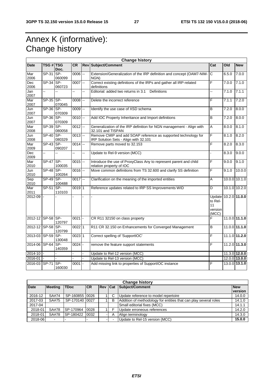# Annex K (informative): Change history

| <b>Change history</b> |                  |               |                     |    |                                                                               |                                   |       |                 |
|-----------------------|------------------|---------------|---------------------|----|-------------------------------------------------------------------------------|-----------------------------------|-------|-----------------|
| <b>Date</b>           | <b>TSG # TSG</b> | Doc.          | <b>CR</b>           |    | <b>Rev Subject/Comment</b>                                                    | Cat                               | Old   | <b>New</b>      |
| Mar<br>2006           | $SP-31$          | SP-<br>060099 | $0006$ $-$          |    | Extension/Generalization of the IRP definition and concept (OAM7-NIM-<br>NGN) | lс                                | 6.5.0 | 7.0.0           |
| Dec                   | $SP-34$ SP-      |               | $0007 -$            |    | F<br>Correct existing definitions of the IRPs and gather all IRP-related      |                                   | 7.0.0 | 7.1.0           |
| 2006                  |                  | 060723        |                     |    | definitions                                                                   |                                   |       |                 |
| Jan                   | u.               |               |                     | L. | Editorial: added two returns in 3.1<br>Definitions                            | ц,                                | 7.1.0 | 7.1.1           |
| 2007                  |                  |               |                     |    |                                                                               |                                   |       |                 |
| Mar<br>2007           | SP-35 SP-        | 070045        | $0008$ --           |    | Delete the incorrect reference                                                | F                                 | 7.1.1 | 7.2.0           |
| Jun                   | $SP-36$ SP-      |               | $0009$ $-$          |    | Identify the use case of XSD schema                                           | $\overline{B}$                    | 7.2.0 | 8.0.0           |
| 2007                  |                  | 070309        |                     |    |                                                                               |                                   |       |                 |
| Jun                   | $SP-36$ SP-      |               | $0010$ --           |    | Add IOC Property Inheritance and Import definitions                           | $\overline{B}$                    | 7.2.0 | 8.0.0           |
| 2007                  |                  | 070309        |                     |    |                                                                               |                                   |       |                 |
| Mar                   | $SP-39$ SP-      |               | $0012$ --           |    | Generalization of the IRP definition for NGN management - Align with          | A                                 | 8.0.0 | 8.1.0           |
| 2008                  |                  | 080058        |                     |    | 32.101 and TISPAN                                                             |                                   |       |                 |
| Jun                   | SP-40            | SP-           | $0013$ --           |    | Remove CMIP and add SOAP reference as supported technology for                | F                                 | 8.1.0 | 8.2.0           |
| 2008                  |                  | 080329        |                     |    | IRP Solution Sets - Align with 32.101                                         |                                   |       |                 |
| Mar                   | $SP-43$ SP-      |               | $0014 -$            |    | Remove parts moved to 32.153                                                  | F                                 | 8.2.0 | 8.3.0           |
| 2009<br>Dec           | u.               | 090207<br>Ξ.  | L.                  | ш. | Update to Rel-9 version (MCC)                                                 |                                   | 8.3.0 | 9.0.0           |
| 2009                  |                  |               |                     |    |                                                                               |                                   |       |                 |
| Mar                   | SP-47 SP-        |               | $0015$ --           |    | Introduce the use of ProxyClass Any to represent parent and child             | F                                 | 9.0.0 | 9.1.0           |
| 2010                  |                  | 100035        |                     |    | relation property of IOC                                                      |                                   |       |                 |
| Jun                   | $SP-48$ SP-      |               | $0016$ $-$          |    | Move common definitions from TS 32.600 and clarify SS definition              | F                                 | 9.1.0 | 10.0.0          |
| 2010                  |                  | 100264        |                     |    |                                                                               |                                   |       |                 |
| Sep                   | SP-49 SP-        |               | $0017$ --           |    | Clarification on the meaning of the imported entities                         | A                                 |       | $10.0.0$ 10.1.0 |
| 2010                  |                  | 100488        |                     |    |                                                                               |                                   |       |                 |
| Mar                   | SP-51            | SP-           | $0019$ 1            |    | Reference updates related to IRP SS Improvements WID                          | $\overline{D}$                    |       | 10.1.0 10.2.0   |
| 2011<br>2012-09       |                  | 110103        |                     |    |                                                                               | Update                            |       | 10.2.0 11.0.0   |
|                       |                  |               |                     |    |                                                                               | to Rel-<br>11<br>version<br>(MCC) |       |                 |
| 2012-12 SP-58 SP-     |                  | 120797        | $0021$ -            |    | CR R11 32150 on class property                                                | F                                 |       | $11.0.0$ 11.1.0 |
| 2012-12               | SP-58 SP-        | 120799        | $0022$ 1            |    | R11 CR 32.150 on Enhancements for Converged Management                        | $\overline{B}$                    |       | $11.0.0$ 11.1.0 |
| 2013-03 SP-59 SP-     |                  | 130048        | 0023 1              |    | Correct spelling of 'SupportIOC'                                              | $\overline{\mathsf{F}}$           |       | 11.1.0 11.2.0   |
| 2014-06               | SP-64 SP-        | 140359        | $\overline{0024}$ - |    | remove the feature support statements                                         | F                                 |       | 11.2.0 11.3.0   |
| 2014-10               |                  |               |                     |    | Update to Rel-12 version (MCC)                                                |                                   |       | $11.3.0$ 12.0.0 |
| 2016-01               |                  |               |                     |    | Update to Rel-13 version (MCC)                                                |                                   |       | $12.0.0$ 13.0.0 |
| 2016-03 SP-71         |                  | SP-           | $0001 -$            |    | Add missing link to properties of SupportIOC instance                         | F                                 |       | 13.0.0 13.1.0   |
|                       |                  | 160030        |                     |    |                                                                               |                                   |       |                 |

| <b>Change history</b> |                |                  |           |                |   |                                                                  |                       |
|-----------------------|----------------|------------------|-----------|----------------|---|------------------------------------------------------------------|-----------------------|
| <b>Date</b>           | <b>Meeting</b> | <b>TDoc</b>      | <b>CR</b> | <b>Rev Cat</b> |   | Subject/Comment                                                  | <b>New</b><br>version |
| 2016-12               | SA#74          | SP-160855 0026   |           |                | С | Update reference to model repertoire                             | 14.0.0                |
| 2017-03               | SA#75          | SP-170140 0027   |           |                | B | Addition of methodology for entities that can play several roles | 14.1.0                |
| 2017-04               |                |                  |           |                |   | Small editorial fixes (MCC)                                      | 14.1.1                |
| 2018-01               | SA#78          | SP-170964        | 0028      |                |   | Update erroneous references                                      | 14.2.0                |
| 2018-01               | SA#78          | ISP-180422 10032 |           |                | A | Align terminology                                                | 14.3.0                |
| 2018-06               | ۰              |                  |           |                |   | Update to Rel-15 version (MCC)                                   | 15.0.0                |